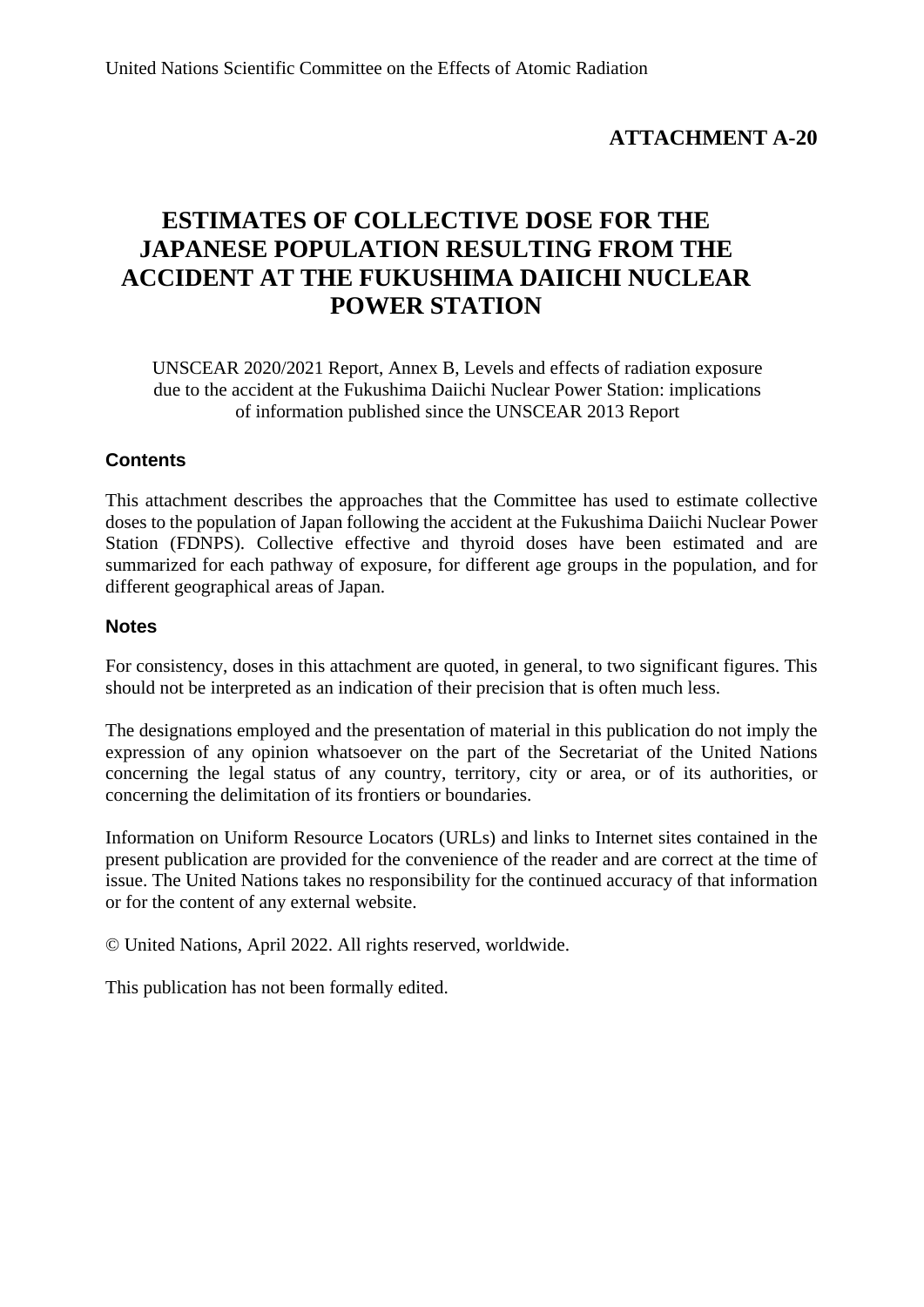# **ATTACHMENT A-20**

# **ESTIMATES OF COLLECTIVE DOSE FOR THE JAPANESE POPULATION RESULTING FROM THE ACCIDENT AT THE FUKUSHIMA DAIICHI NUCLEAR POWER STATION**

UNSCEAR 2020/2021 Report, Annex B, Levels and effects of radiation exposure due to the accident at the Fukushima Daiichi Nuclear Power Station: implications of information published since the UNSCEAR 2013 Report

### **Contents**

This attachment describes the approaches that the Committee has used to estimate collective doses to the population of Japan following the accident at the Fukushima Daiichi Nuclear Power Station (FDNPS). Collective effective and thyroid doses have been estimated and are summarized for each pathway of exposure, for different age groups in the population, and for different geographical areas of Japan.

#### **Notes**

For consistency, doses in this attachment are quoted, in general, to two significant figures. This should not be interpreted as an indication of their precision that is often much less.

The designations employed and the presentation of material in this publication do not imply the expression of any opinion whatsoever on the part of the Secretariat of the United Nations concerning the legal status of any country, territory, city or area, or of its authorities, or concerning the delimitation of its frontiers or boundaries.

Information on Uniform Resource Locators (URLs) and links to Internet sites contained in the present publication are provided for the convenience of the reader and are correct at the time of issue. The United Nations takes no responsibility for the continued accuracy of that information or for the content of any external website.

© United Nations, April 2022. All rights reserved, worldwide.

This publication has not been formally edited.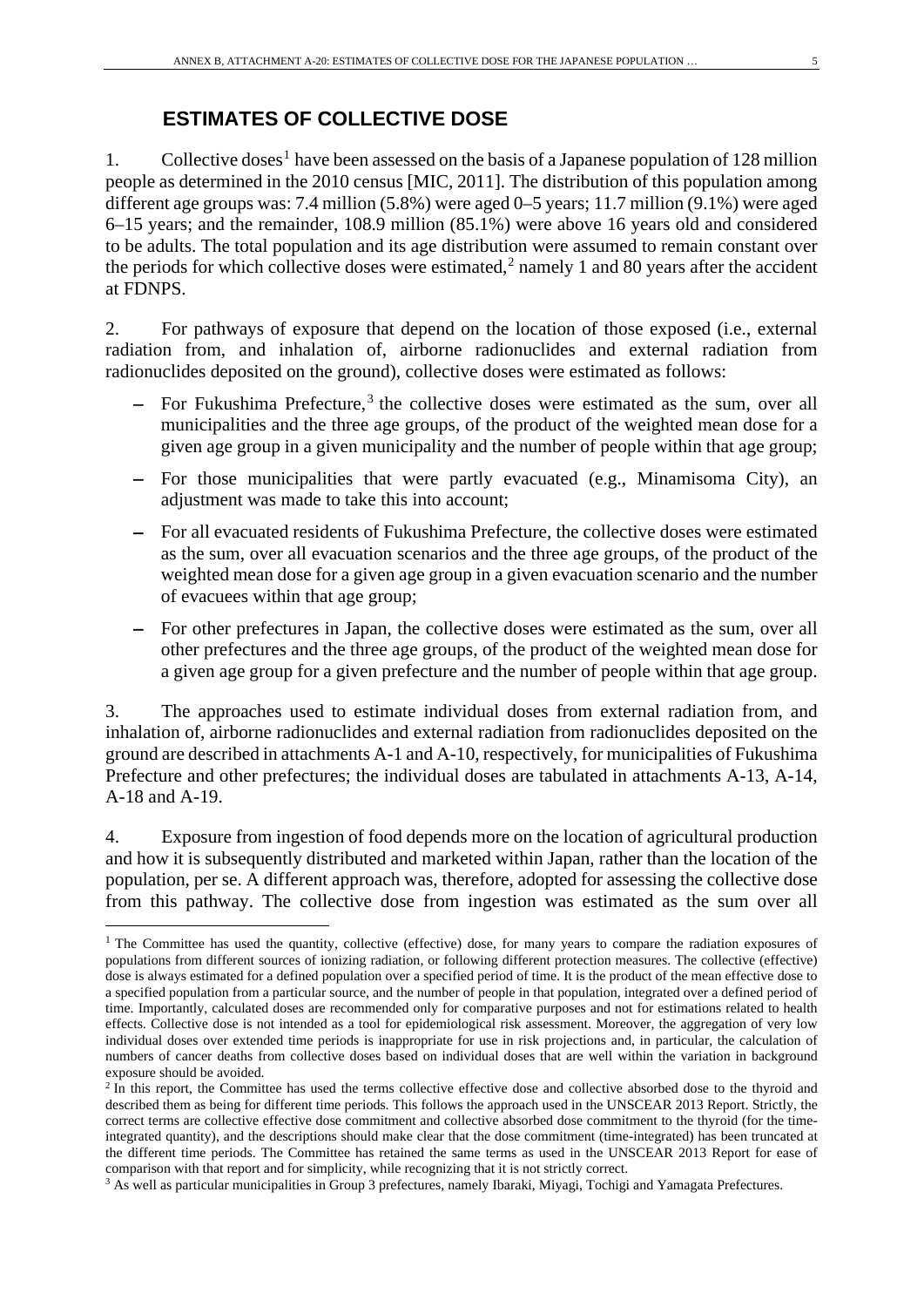## **ESTIMATES OF COLLECTIVE DOSE**

[1](#page-4-0). Collective doses<sup>1</sup> have been assessed on the basis of a Japanese population of 128 million people as determined in the 2010 census [MIC, 2011]. The distribution of this population among different age groups was: 7.4 million (5.8%) were aged 0–5 years; 11.7 million (9.1%) were aged 6–15 years; and the remainder, 108.9 million (85.1%) were above 16 years old and considered to be adults. The total population and its age distribution were assumed to remain constant over the periods for which collective doses were estimated,<sup>[2](#page-4-1)</sup> namely 1 and 80 years after the accident at FDNPS.

2. For pathways of exposure that depend on the location of those exposed (i.e., external radiation from, and inhalation of, airborne radionuclides and external radiation from radionuclides deposited on the ground), collective doses were estimated as follows:

- − For Fukushima Prefecture, [3](#page-4-2) the collective doses were estimated as the sum, over all municipalities and the three age groups, of the product of the weighted mean dose for a given age group in a given municipality and the number of people within that age group;
- − For those municipalities that were partly evacuated (e.g., Minamisoma City), an adjustment was made to take this into account;
- − For all evacuated residents of Fukushima Prefecture, the collective doses were estimated as the sum, over all evacuation scenarios and the three age groups, of the product of the weighted mean dose for a given age group in a given evacuation scenario and the number of evacuees within that age group;
- − For other prefectures in Japan, the collective doses were estimated as the sum, over all other prefectures and the three age groups, of the product of the weighted mean dose for a given age group for a given prefecture and the number of people within that age group.

3. The approaches used to estimate individual doses from external radiation from, and inhalation of, airborne radionuclides and external radiation from radionuclides deposited on the ground are described in attachments A-1 and A-10, respectively, for municipalities of Fukushima Prefecture and other prefectures; the individual doses are tabulated in attachments A-13, A-14, A-18 and A-19.

4. Exposure from ingestion of food depends more on the location of agricultural production and how it is subsequently distributed and marketed within Japan, rather than the location of the population, per se. A different approach was, therefore, adopted for assessing the collective dose from this pathway. The collective dose from ingestion was estimated as the sum over all

<span id="page-4-0"></span><sup>&</sup>lt;sup>1</sup> The Committee has used the quantity, collective (effective) dose, for many years to compare the radiation exposures of populations from different sources of ionizing radiation, or following different protection measures. The collective (effective) dose is always estimated for a defined population over a specified period of time. It is the product of the mean effective dose to a specified population from a particular source, and the number of people in that population, integrated over a defined period of time. Importantly, calculated doses are recommended only for comparative purposes and not for estimations related to health effects. Collective dose is not intended as a tool for epidemiological risk assessment. Moreover, the aggregation of very low individual doses over extended time periods is inappropriate for use in risk projections and, in particular, the calculation of numbers of cancer deaths from collective doses based on individual doses that are well within the variation in background exposure should be avoided.

<span id="page-4-1"></span> $2 \text{ In this report, the Committee has used the terms collective effective dose and collective absorbed dose to the thyroid and$ described them as being for different time periods. This follows the approach used in the UNSCEAR 2013 Report. Strictly, the correct terms are collective effective dose commitment and collective absorbed dose commitment to the thyroid (for the timeintegrated quantity), and the descriptions should make clear that the dose commitment (time-integrated) has been truncated at the different time periods. The Committee has retained the same terms as used in the UNSCEAR 2013 Report for ease of comparison with that report and for simplicity, while recognizing that it is not strictly correct.

<span id="page-4-2"></span><sup>3</sup> As well as particular municipalities in Group 3 prefectures, namely Ibaraki, Miyagi, Tochigi and Yamagata Prefectures.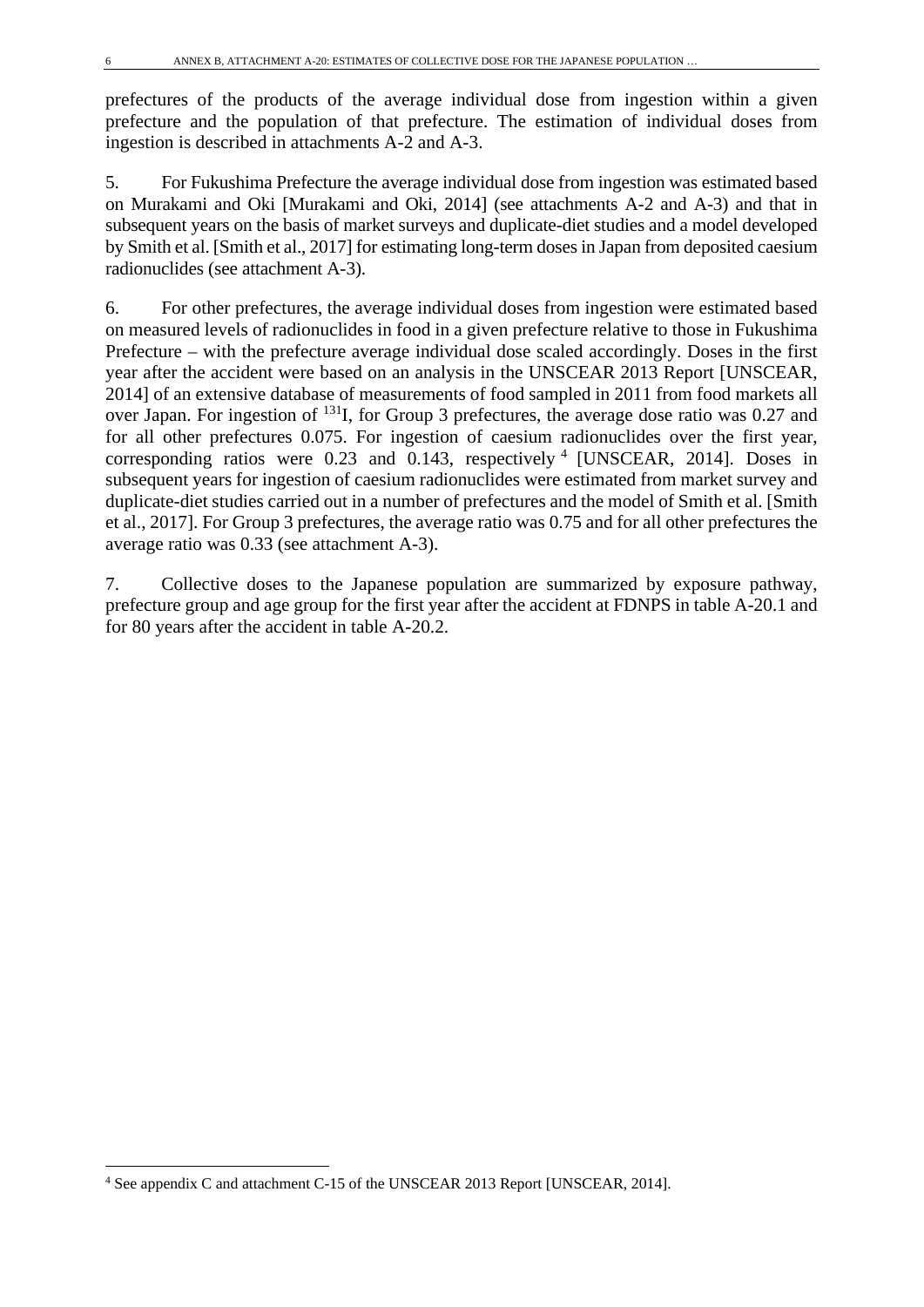prefectures of the products of the average individual dose from ingestion within a given prefecture and the population of that prefecture. The estimation of individual doses from ingestion is described in attachments A-2 and A-3.

5. For Fukushima Prefecture the average individual dose from ingestion was estimated based on Murakami and Oki [Murakami and Oki, 2014] (see attachments A-2 and A-3) and that in subsequent years on the basis of market surveys and duplicate-diet studies and a model developed by Smith et al. [Smith et al., 2017] for estimating long-term doses in Japan from deposited caesium radionuclides (see attachment A-3).

6. For other prefectures, the average individual doses from ingestion were estimated based on measured levels of radionuclides in food in a given prefecture relative to those in Fukushima Prefecture – with the prefecture average individual dose scaled accordingly. Doses in the first year after the accident were based on an analysis in the UNSCEAR 2013 Report [UNSCEAR, 2014] of an extensive database of measurements of food sampled in 2011 from food markets all over Japan. For ingestion of 131I, for Group 3 prefectures, the average dose ratio was 0.27 and for all other prefectures 0.075. For ingestion of caesium radionuclides over the first year, corresponding ratios were 0.23 and  $0.143$  $0.143$  $0.143$ , respectively  $4$  [UNSCEAR, 2014]. Doses in subsequent years for ingestion of caesium radionuclides were estimated from market survey and duplicate-diet studies carried out in a number of prefectures and the model of Smith et al. [Smith et al., 2017]. For Group 3 prefectures, the average ratio was 0.75 and for all other prefectures the average ratio was 0.33 (see attachment A-3).

7. Collective doses to the Japanese population are summarized by exposure pathway, prefecture group and age group for the first year after the accident at FDNPS in table A-20.1 and for 80 years after the accident in table A-20.2.

<span id="page-5-0"></span><sup>4</sup> See appendix C and attachment C-15 of the UNSCEAR 2013 Report [UNSCEAR, 2014].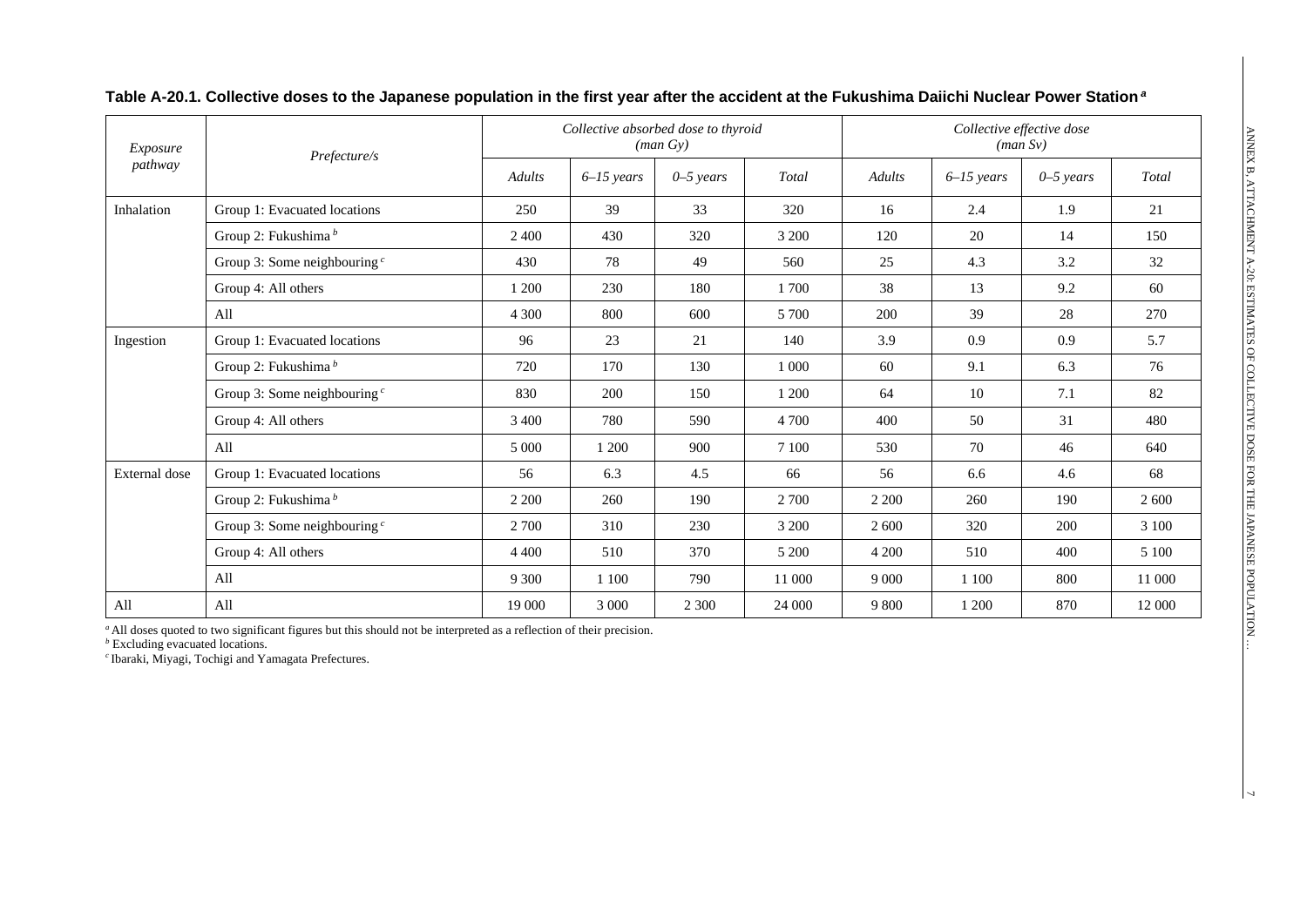| Exposure<br>pathway | Prefecture/s                    | Collective absorbed dose to thyroid<br>(man Gy) |              |               |         | Collective effective dose<br>(man Sv) |              |               |        |
|---------------------|---------------------------------|-------------------------------------------------|--------------|---------------|---------|---------------------------------------|--------------|---------------|--------|
|                     |                                 | <b>Adults</b>                                   | $6-15$ years | $0 - 5$ years | Total   | Adults                                | $6-15$ years | $0 - 5$ years | Total  |
| Inhalation          | Group 1: Evacuated locations    | 250                                             | 39           | 33            | 320     | 16                                    | 2.4          | 1.9           | 21     |
|                     | Group 2: Fukushima <sup>b</sup> | 2 4 0 0                                         | 430          | 320           | 3 200   | 120                                   | 20           | 14            | 150    |
|                     | Group 3: Some neighbouring $c$  | 430                                             | 78           | 49            | 560     | 25                                    | 4.3          | 3.2           | 32     |
|                     | Group 4: All others             | 1 200                                           | 230          | 180           | 1 700   | 38                                    | 13           | 9.2           | 60     |
|                     | All                             | 4 3 0 0                                         | 800          | 600           | 5 700   | 200                                   | 39           | 28            | 270    |
| Ingestion           | Group 1: Evacuated locations    | 96                                              | 23           | 21            | 140     | 3.9                                   | 0.9          | 0.9           | 5.7    |
|                     | Group 2: Fukushima <sup>b</sup> | 720                                             | 170          | 130           | 1 0 0 0 | 60                                    | 9.1          | 6.3           | 76     |
|                     | Group 3: Some neighbouring $c$  | 830                                             | 200          | 150           | 1 200   | 64                                    | 10           | 7.1           | 82     |
|                     | Group 4: All others             | 3 4 0 0                                         | 780          | 590           | 4 700   | 400                                   | 50           | 31            | 480    |
|                     | All                             | 5 0 0 0                                         | 1 200        | 900           | 7 100   | 530                                   | 70           | 46            | 640    |
| External dose       | Group 1: Evacuated locations    | 56                                              | 6.3          | 4.5           | 66      | 56                                    | 6.6          | 4.6           | 68     |
|                     | Group 2: Fukushima <sup>b</sup> | 2 2 0 0                                         | 260          | 190           | 2 700   | 2 2 0 0                               | 260          | 190           | 2 600  |
|                     | Group 3: Some neighbouring $c$  | 2 700                                           | 310          | 230           | 3 200   | 2 600                                 | 320          | 200           | 3 100  |
|                     | Group 4: All others             | 4 4 0 0                                         | 510          | 370           | 5 200   | 4 200                                 | 510          | 400           | 5 100  |
|                     | All                             | 9 3 0 0                                         | 1 1 0 0      | 790           | 11 000  | 9 0 0 0                               | 1 100        | 800           | 11 000 |
| All                 | All                             | 19 000                                          | 3 0 0 0      | 2 3 0 0       | 24 000  | 9 800                                 | 1 200        | 870           | 12 000 |

*<sup>a</sup>* All doses quoted to two significant figures but this should not be interpreted as a reflection of their precision.

*<sup>b</sup>* Excluding evacuated locations.

*<sup>c</sup>* Ibaraki, Miyagi, Tochigi and Yamagata Prefectures.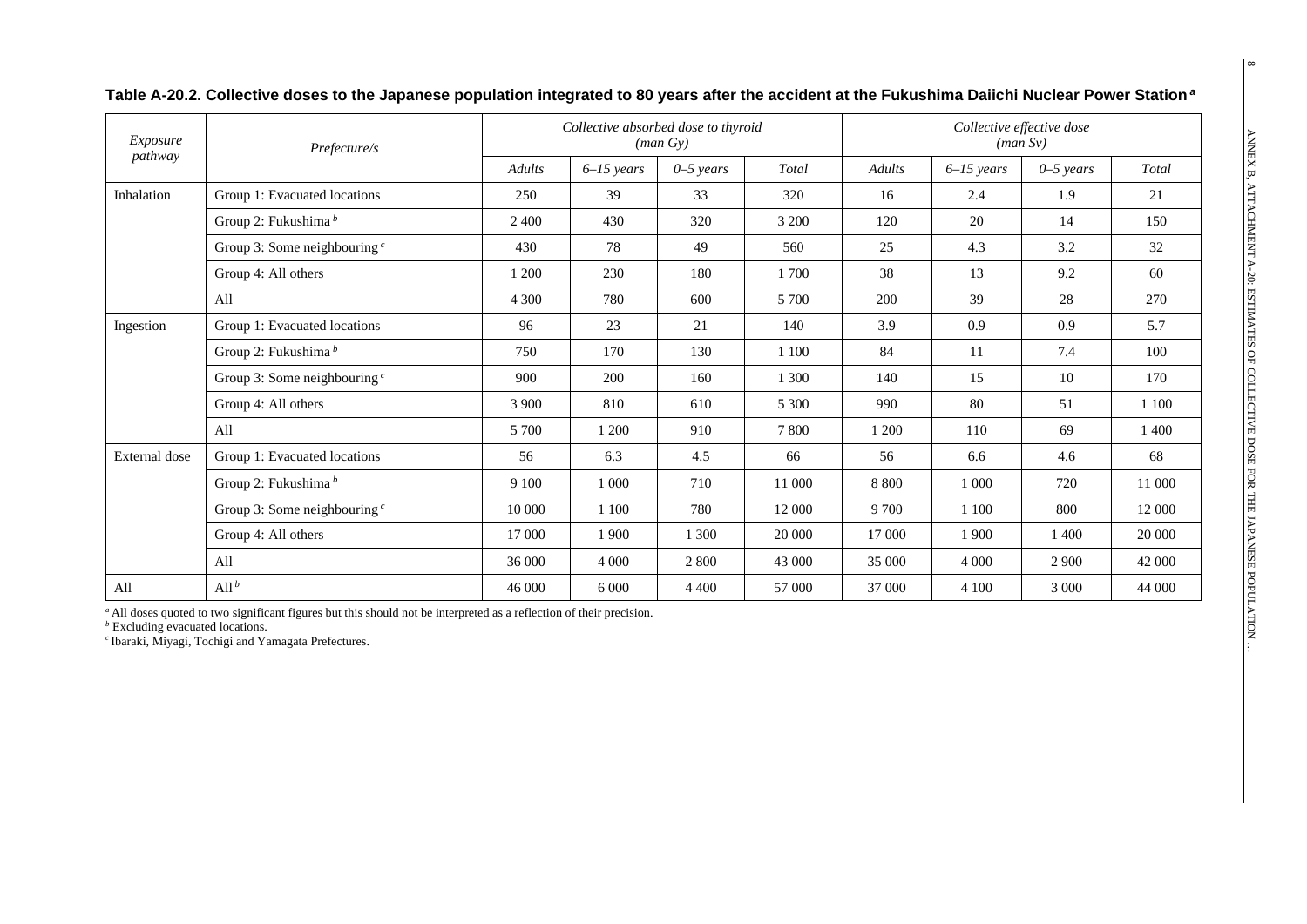| Exposure<br>pathway | Prefecture/s                    | Collective absorbed dose to thyroid<br>(man Gy) |              |               |         | Collective effective dose<br>(man Sv) |              |               |        |
|---------------------|---------------------------------|-------------------------------------------------|--------------|---------------|---------|---------------------------------------|--------------|---------------|--------|
|                     |                                 | Adults                                          | $6-15$ years | $0 - 5$ years | Total   | Adults                                | $6-15$ years | $0 - 5$ years | Total  |
| Inhalation          | Group 1: Evacuated locations    | 250                                             | 39           | 33            | 320     | 16                                    | 2.4          | 1.9           | 21     |
|                     | Group 2: Fukushima <sup>b</sup> | 2 4 0 0                                         | 430          | 320           | 3 200   | 120                                   | 20           | 14            | 150    |
|                     | Group 3: Some neighbouring $c$  | 430                                             | 78           | 49            | 560     | 25                                    | 4.3          | 3.2           | 32     |
|                     | Group 4: All others             | 1 200                                           | 230          | 180           | 1 700   | 38                                    | 13           | 9.2           | 60     |
|                     | All                             | 4 3 0 0                                         | 780          | 600           | 5 700   | 200                                   | 39           | 28            | 270    |
| Ingestion           | Group 1: Evacuated locations    | 96                                              | 23           | 21            | 140     | 3.9                                   | 0.9          | 0.9           | 5.7    |
|                     | Group 2: Fukushima $^b$         | 750                                             | 170          | 130           | 1 100   | 84                                    | 11           | 7.4           | 100    |
|                     | Group 3: Some neighbouring $c$  | 900                                             | 200          | 160           | 1 300   | 140                                   | 15           | 10            | 170    |
|                     | Group 4: All others             | 3 9 0 0                                         | 810          | 610           | 5 3 0 0 | 990                                   | 80           | 51            | 1 100  |
|                     | All                             | 5 700                                           | 1 200        | 910           | 7 800   | 1 200                                 | 110          | 69            | 1 400  |
| External dose       | Group 1: Evacuated locations    | 56                                              | 6.3          | 4.5           | 66      | 56                                    | 6.6          | 4.6           | 68     |
|                     | Group 2: Fukushima <sup>b</sup> | 9 1 0 0                                         | 1 0 0 0      | 710           | 11 000  | 8 8 0 0                               | 1 000        | 720           | 11 000 |
|                     | Group 3: Some neighbouring $c$  | 10 000                                          | 1 100        | 780           | 12 000  | 9 700                                 | 1 100        | 800           | 12 000 |
|                     | Group 4: All others             | 17 000                                          | 1 900        | 1 300         | 20 000  | 17 000                                | 1 900        | 1400          | 20 000 |
|                     | All                             | 36 000                                          | 4 0 0 0      | 2 800         | 43 000  | 35 000                                | 4 0 0 0      | 2 9 0 0       | 42 000 |
| All                 | All $^b$                        | 46 000                                          | 6 0 0 0      | 4 4 0 0       | 57 000  | 37 000                                | 4 100        | 3 0 0 0       | 44 000 |

**Table A-20.2. Collective doses to the Japanese population integrated to 80 years after the accident at the Fukushima Daiichi Nuclear Power Station** *<sup>a</sup>*

*<sup>a</sup>* All doses quoted to two significant figures but this should not be interpreted as a reflection of their precision.

*b* Excluding evacuated locations.

*<sup>c</sup>* Ibaraki, Miyagi, Tochigi and Yamagata Prefectures.

 $\infty$